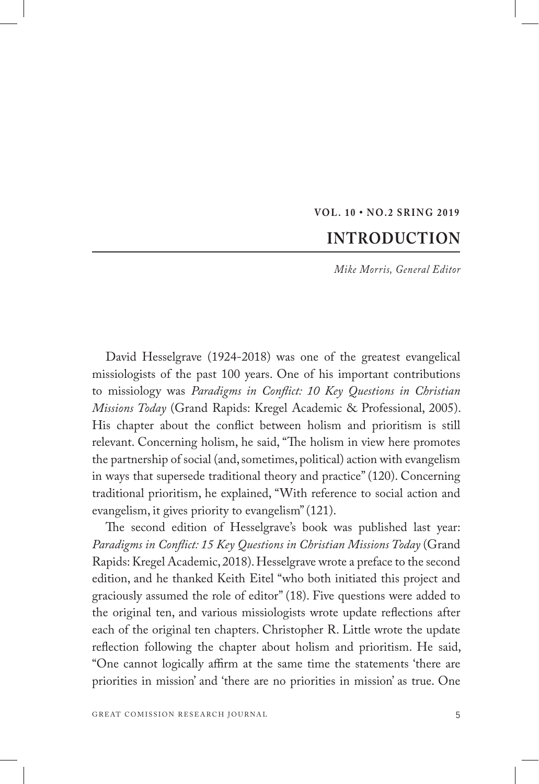## **VOL. 10 • NO.2 SRING 2019**

## **INTRODUCTION**

*Mike Morris, General Editor*

David Hesselgrave (1924-2018) was one of the greatest evangelical missiologists of the past 100 years. One of his important contributions to missiology was *Paradigms in Conflict: 10 Key Questions in Christian Missions Today* (Grand Rapids: Kregel Academic & Professional, 2005). His chapter about the conflict between holism and prioritism is still relevant. Concerning holism, he said, "The holism in view here promotes the partnership of social (and, sometimes, political) action with evangelism in ways that supersede traditional theory and practice" (120). Concerning traditional prioritism, he explained, "With reference to social action and evangelism, it gives priority to evangelism" (121).

The second edition of Hesselgrave's book was published last year: *Paradigms in Conflict: 15 Key Questions in Christian Missions Today* (Grand Rapids: Kregel Academic, 2018). Hesselgrave wrote a preface to the second edition, and he thanked Keith Eitel "who both initiated this project and graciously assumed the role of editor" (18). Five questions were added to the original ten, and various missiologists wrote update reflections after each of the original ten chapters. Christopher R. Little wrote the update reflection following the chapter about holism and prioritism. He said, "One cannot logically affirm at the same time the statements 'there are priorities in mission' and 'there are no priorities in mission' as true. One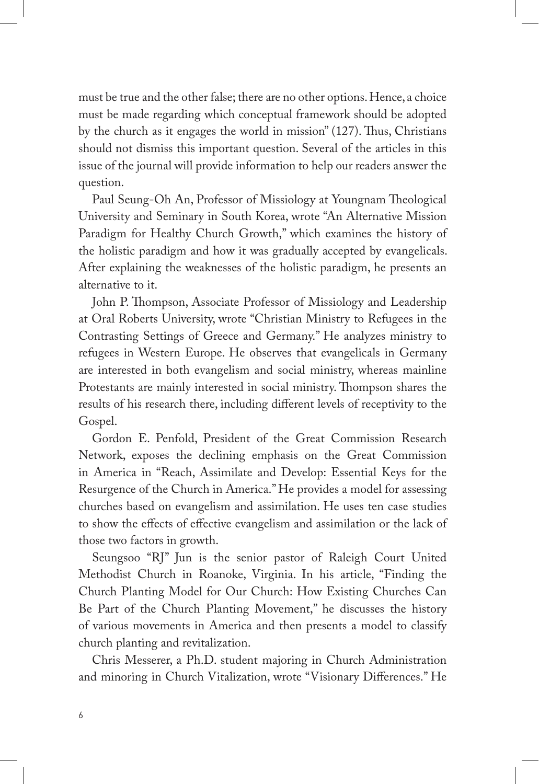must be true and the other false; there are no other options. Hence, a choice must be made regarding which conceptual framework should be adopted by the church as it engages the world in mission" (127). Thus, Christians should not dismiss this important question. Several of the articles in this issue of the journal will provide information to help our readers answer the question.

Paul Seung-Oh An, Professor of Missiology at Youngnam Theological University and Seminary in South Korea, wrote "An Alternative Mission Paradigm for Healthy Church Growth," which examines the history of the holistic paradigm and how it was gradually accepted by evangelicals. After explaining the weaknesses of the holistic paradigm, he presents an alternative to it.

John P. Thompson, Associate Professor of Missiology and Leadership at Oral Roberts University, wrote "Christian Ministry to Refugees in the Contrasting Settings of Greece and Germany." He analyzes ministry to refugees in Western Europe. He observes that evangelicals in Germany are interested in both evangelism and social ministry, whereas mainline Protestants are mainly interested in social ministry. Thompson shares the results of his research there, including different levels of receptivity to the Gospel.

Gordon E. Penfold, President of the Great Commission Research Network, exposes the declining emphasis on the Great Commission in America in "Reach, Assimilate and Develop: Essential Keys for the Resurgence of the Church in America." He provides a model for assessing churches based on evangelism and assimilation. He uses ten case studies to show the effects of effective evangelism and assimilation or the lack of those two factors in growth.

Seungsoo "RJ" Jun is the senior pastor of Raleigh Court United Methodist Church in Roanoke, Virginia. In his article, "Finding the Church Planting Model for Our Church: How Existing Churches Can Be Part of the Church Planting Movement," he discusses the history of various movements in America and then presents a model to classify church planting and revitalization.

Chris Messerer, a Ph.D. student majoring in Church Administration and minoring in Church Vitalization, wrote "Visionary Differences." He